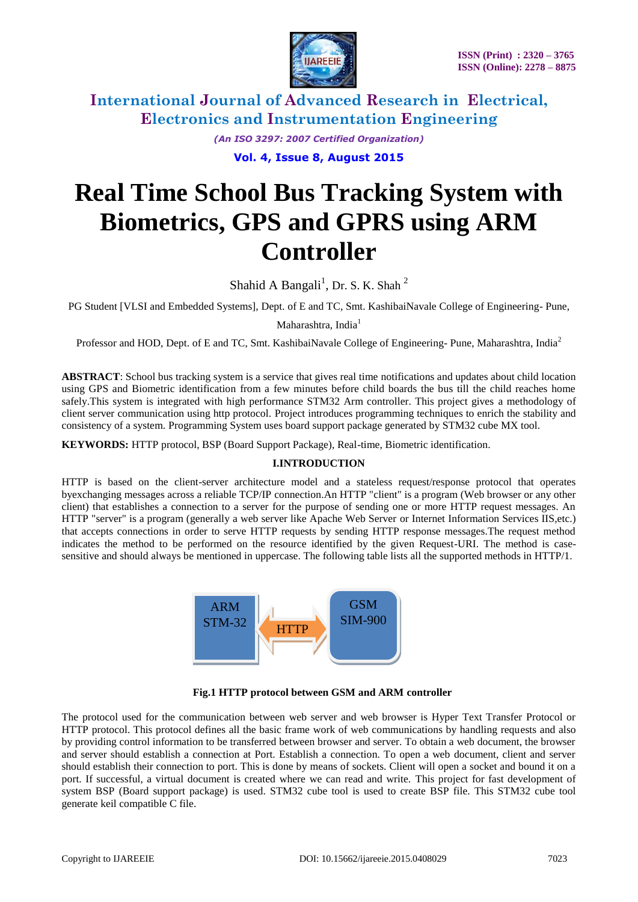

> *(An ISO 3297: 2007 Certified Organization)* **Vol. 4, Issue 8, August 2015**

# **Real Time School Bus Tracking System with Biometrics, GPS and GPRS using ARM Controller**

Shahid A Bangali<sup>1</sup>, Dr. S. K. Shah<sup>2</sup>

PG Student [VLSI and Embedded Systems], Dept. of E and TC, Smt. KashibaiNavale College of Engineering- Pune,

Maharashtra, India<sup>1</sup>

Professor and HOD, Dept. of E and TC, Smt. KashibaiNavale College of Engineering-Pune, Maharashtra, India<sup>2</sup>

**ABSTRACT**: School bus tracking system is a service that gives real time notifications and updates about child location using GPS and Biometric identification from a few minutes before child boards the bus till the child reaches home safely.This system is integrated with high performance STM32 Arm controller. This project gives a methodology of client server communication using http protocol. Project introduces programming techniques to enrich the stability and consistency of a system. Programming System uses board support package generated by STM32 cube MX tool.

**KEYWORDS:** HTTP protocol, BSP (Board Support Package), Real-time, Biometric identification.

#### **I.INTRODUCTION**

HTTP is based on the client-server architecture model and a stateless request/response protocol that operates byexchanging messages across a reliable TCP/IP connection.An HTTP "client" is a program (Web browser or any other client) that establishes a connection to a server for the purpose of sending one or more HTTP request messages. An HTTP "server" is a program (generally a web server like Apache Web Server or Internet Information Services IIS,etc.) that accepts connections in order to serve HTTP requests by sending HTTP response messages.The request method indicates the method to be performed on the resource identified by the given Request-URI. The method is casesensitive and should always be mentioned in uppercase. The following table lists all the supported methods in HTTP/1.





The protocol used for the communication between web server and web browser is Hyper Text Transfer Protocol or HTTP protocol. This protocol defines all the basic frame work of web communications by handling requests and also by providing control information to be transferred between browser and server. To obtain a web document, the browser and server should establish a connection at Port. Establish a connection. To open a web document, client and server should establish their connection to port. This is done by means of sockets. Client will open a socket and bound it on a port. If successful, a virtual document is created where we can read and write. This project for fast development of system BSP (Board support package) is used. STM32 cube tool is used to create BSP file. This STM32 cube tool generate keil compatible C file.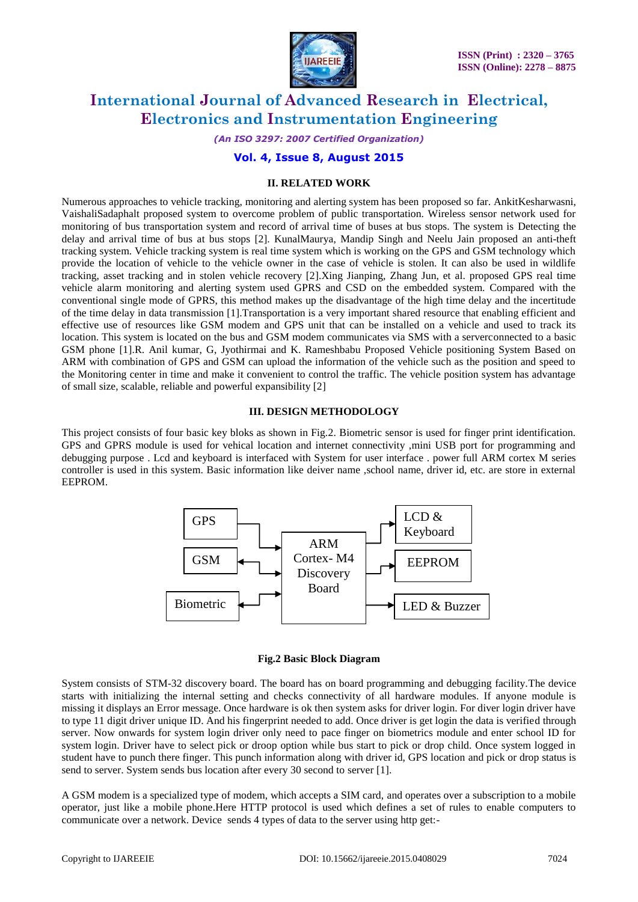

*(An ISO 3297: 2007 Certified Organization)*

#### **Vol. 4, Issue 8, August 2015**

#### **II. RELATED WORK**

Numerous approaches to vehicle tracking, monitoring and alerting system has been proposed so far. AnkitKesharwasni, VaishaliSadaphalt proposed system to overcome problem of public transportation. Wireless sensor network used for monitoring of bus transportation system and record of arrival time of buses at bus stops. The system is Detecting the delay and arrival time of bus at bus stops [2]. KunalMaurya, Mandip Singh and Neelu Jain proposed an anti-theft tracking system. Vehicle tracking system is real time system which is working on the GPS and GSM technology which provide the location of vehicle to the vehicle owner in the case of vehicle is stolen. It can also be used in wildlife tracking, asset tracking and in stolen vehicle recovery [2].Xing Jianping, Zhang Jun, et al. proposed GPS real time vehicle alarm monitoring and alerting system used GPRS and CSD on the embedded system. Compared with the conventional single mode of GPRS, this method makes up the disadvantage of the high time delay and the incertitude of the time delay in data transmission [1].Transportation is a very important shared resource that enabling efficient and effective use of resources like GSM modem and GPS unit that can be installed on a vehicle and used to track its location. This system is located on the bus and GSM modem communicates via SMS with a serverconnected to a basic GSM phone [1].R. Anil kumar, G, Jyothirmai and K. Rameshbabu Proposed Vehicle positioning System Based on ARM with combination of GPS and GSM can upload the information of the vehicle such as the position and speed to the Monitoring center in time and make it convenient to control the traffic. The vehicle position system has advantage of small size, scalable, reliable and powerful expansibility [2]

#### **III. DESIGN METHODOLOGY**

This project consists of four basic key bloks as shown in Fig.2. Biometric sensor is used for finger print identification. GPS and GPRS module is used for vehical location and internet connectivity ,mini USB port for programming and debugging purpose . Lcd and keyboard is interfaced with System for user interface . power full ARM cortex M series controller is used in this system. Basic information like deiver name ,school name, driver id, etc. are store in external EEPROM.



**Fig.2 Basic Block Diagram**

System consists of STM-32 discovery board. The board has on board programming and debugging facility.The device starts with initializing the internal setting and checks connectivity of all hardware modules. If anyone module is missing it displays an Error message. Once hardware is ok then system asks for driver login. For diver login driver have to type 11 digit driver unique ID. And his fingerprint needed to add. Once driver is get login the data is verified through server. Now onwards for system login driver only need to pace finger on biometrics module and enter school ID for system login. Driver have to select pick or droop option while bus start to pick or drop child. Once system logged in student have to punch there finger. This punch information along with driver id, GPS location and pick or drop status is send to server. System sends bus location after every 30 second to server [1].

A GSM modem is a specialized type of modem, which accepts a SIM card, and operates over a subscription to a mobile operator, just like a mobile phone.Here HTTP protocol is used which defines a set of rules to enable computers to communicate over a network. Device sends 4 types of data to the server using http get:-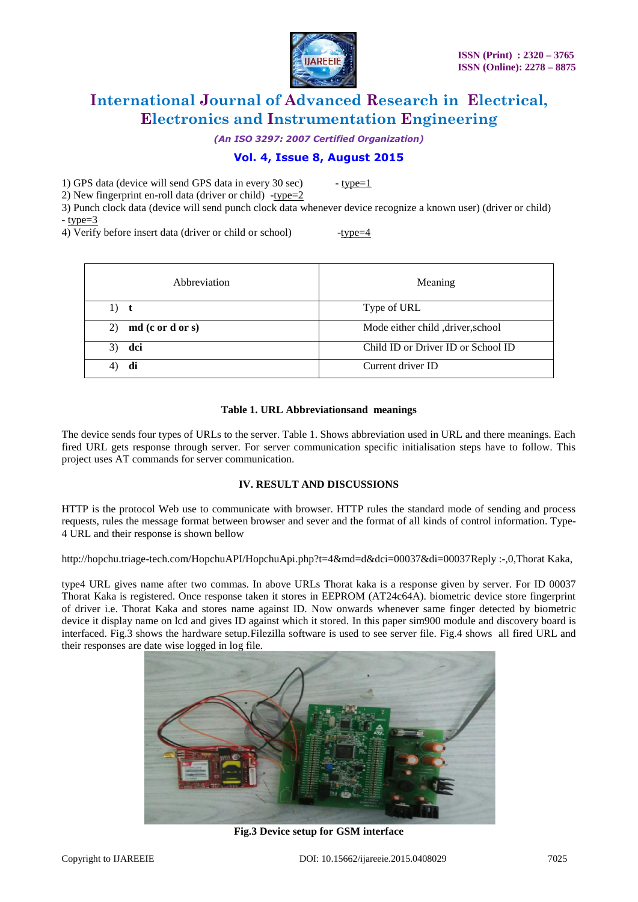

*(An ISO 3297: 2007 Certified Organization)*

## **Vol. 4, Issue 8, August 2015**

1) GPS data (device will send GPS data in every  $30 \text{ sec}$ ) - type=1

2) New fingerprint en-roll data (driver or child) -type=2

3) Punch clock data (device will send punch clock data whenever device recognize a known user) (driver or child)  $-$  type= $3$ 

4) Verify before insert data (driver or child or school)  $-$ type= $4$ 

| Abbreviation           | Meaning                            |
|------------------------|------------------------------------|
| 1)<br>t                | Type of URL                        |
| md (c or d or s)<br>2) | Mode either child , driver, school |
| dci<br>3)              | Child ID or Driver ID or School ID |
|                        | Current driver ID                  |

## **Table 1. URL Abbreviationsand meanings**

The device sends four types of URLs to the server. Table 1. Shows abbreviation used in URL and there meanings. Each fired URL gets response through server. For server communication specific initialisation steps have to follow. This project uses AT commands for server communication.

## **IV. RESULT AND DISCUSSIONS**

HTTP is the protocol Web use to communicate with browser. HTTP rules the standard mode of sending and process requests, rules the message format between browser and sever and the format of all kinds of control information. Type-4 URL and their response is shown bellow

http://hopchu.triage-tech.com/HopchuAPI/HopchuApi.php?t=4&md=d&dci=00037&di=00037Reply :-,0,Thorat Kaka,

type4 URL gives name after two commas. In above URLs Thorat kaka is a response given by server. For ID 00037 Thorat Kaka is registered. Once response taken it stores in EEPROM (AT24c64A). biometric device store fingerprint of driver i.e. Thorat Kaka and stores name against ID. Now onwards whenever same finger detected by biometric device it display name on lcd and gives ID against which it stored. In this paper sim900 module and discovery board is interfaced. Fig.3 shows the hardware setup.Filezilla software is used to see server file. Fig.4 shows all fired URL and their responses are date wise logged in log file.



**Fig.3 Device setup for GSM interface**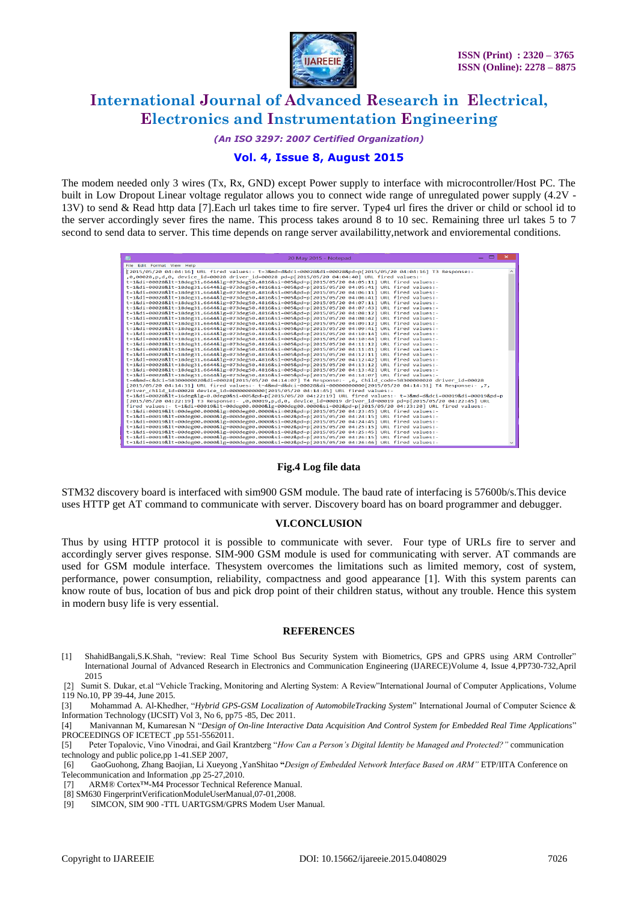

*(An ISO 3297: 2007 Certified Organization)*

## **Vol. 4, Issue 8, August 2015**

The modem needed only 3 wires (Tx, Rx, GND) except Power supply to interface with microcontroller/Host PC. The built in Low Dropout Linear voltage regulator allows you to connect wide range of unregulated power supply (4.2V - 13V) to send & Read http data [7].Each url takes time to fire server. Type4 url fires the driver or child or school id to the server accordingly sever fires the name. This process takes around 8 to 10 sec. Remaining three url takes 5 to 7 second to send data to server. This time depends on range server availabilitty,network and envioremental conditions.

| $  \rightarrow$<br><b>AND</b><br>20 May 2015 - Notepad                                                                                                                                         |  |
|------------------------------------------------------------------------------------------------------------------------------------------------------------------------------------------------|--|
| File Edit Format View Help                                                                                                                                                                     |  |
| [2015/05/20 04:04:16] URL fired values:- t=3&md=d&dci=00028&di=00028&pd=p[2015/05/20 04:04:16] T3 Response:-                                                                                   |  |
| .0,00028.p.d.0. device id=00028 driver id=00028 pd=p[2015/05/20 04:04:40] URL fired values:-                                                                                                   |  |
| t=1&di=00028<=18deg31.6644≶=073deg50.4816&si=005&pd=p[2015/05/20 04:05:11] URL fired values:-                                                                                                  |  |
| t=1&di=00028<=18deg31.6644≶=073deg50.4816&si=005&pd=p[2015/05/20 04:05:41] URL fired values:-                                                                                                  |  |
| t=1&di=00028<=18deg31.6644≶=073deg50.4816&si=005&pd=p[2015/05/20 04:06:11] URL fired values:-                                                                                                  |  |
| t=1&di=00028<=18deg31.6644≶=073deg50.4816&si=005&pd=p[2015/05/20 04:06:41] URL fired values:-                                                                                                  |  |
| t=1&di=00028<=18deg31.6644≶=073deg50.4816&si=005&pd=p[2015/05/20 04:07:11] URL fired values:-                                                                                                  |  |
| t=1&di=00028<=18deg31.6644≶=073deg50.4816&si=005&pd=p[2015/05/20 04:07:43] URL fired values:-                                                                                                  |  |
| t=1&di=00028<=18deg31.6644≶=073deg50.4816&si=005&pd=p[2015/05/20 04:08:12] URL fired values:-                                                                                                  |  |
| t=1&di=00028<=18deg31.6644≶=073deg50.4816&si=005&pd=p[2015/05/20 04:08:42] URL fired values:-                                                                                                  |  |
| t=1&di=00028<=18deg31.6644≶=073deg50.4816&si=005&pd=p[2015/05/20 04:09:12] URL fired values:-                                                                                                  |  |
| t=1&di=00028<=18deg31.6644≶=073deg50.4816&si=005&pd=p[2015/05/20 04:09:41] URL fired values:-                                                                                                  |  |
| t=1&di=00028<=18deg31.6644≶=073deg50.4816&si=005&pd=p[2015/05/20 04:10:14] URL fired values:-                                                                                                  |  |
| t=1&di=00028<=18deg31.6644≶=073deg50.4816&si=005&pd=p[2015/05/20 04:10:44] URL fired values:-<br>t=1&di=00028<=18deg31.6644≶=073deg50.4816&si=005&pd=p[2015/05/20 04:11:12] URL fired values:- |  |
| t=1&di=00028<=18deg31.6644≶=073deg50.4816&si=005&pd=p[2015/05/20 04:11:41] URL fired values:-                                                                                                  |  |
| t=1&di=00028<=18deg31.6644≶=073deg50.4816&si=005&pd=p[2015/05/20 04:12:11] URL fired values:-                                                                                                  |  |
| t=1&di=00028<=18deg31.6644≶=073deg50.4816&si=005&pd=p[2015/05/20 04:12:42] URL fired values:-                                                                                                  |  |
| t=1&di=00028<=18deg31.6644≶=073deg50.4816&si=005&pd=p[2015/05/20 04:13:12] URL fired values:-                                                                                                  |  |
| t=1&di=00028<=18deg31.6644≶=073deg50.4816&si=005&pd=p[2015/05/20 04:13:42] URL fired values:-                                                                                                  |  |
| t=1&di=00028<=18deg31.6644≶=073deg50.4816&si=005&pd=p[2015/05/20 04:14:07] URL fired values:-                                                                                                  |  |
| t=4&md=c&dci=583000000020&di=00028[2015/05/20 04:14:07] T4 Response:- .6, Child code=58300000020 driver id=00028                                                                               |  |
| .7, : 12015/05/20 04:14:31] URL fired values:- t=4&md=d&dci=00028&di=000000000000[2015/05/20 04:14:31] T4 Response                                                                             |  |
| driver child id=00028 device id=00000000000[2015/05/20 04:14:45] URL fired values:-                                                                                                            |  |
| t=1&di=00028<=16deg≶=0.0deg0&si=005&pd=p[2015/05/20 04:22:19] URL fired values:- t=3&md=d&dci=00019&di=00019&pd=p                                                                              |  |
| [2015/05/20 04:22:19] T3 Response:- ,0,00019,p,d,0, device id=00019 driver id=00019 pd=p[2015/05/20 04:22:45] URL                                                                              |  |
| fired values:- t=1&di=00019<=00deg00.0000≶=000deg00.0000&si=002&pd=p[2015/05/20 04:23:20] URL fired values:-                                                                                   |  |
| t=1&di=00019<=00deg00.0000≶=000deg00.0000&si=002&pd=p[2015/05/20 04:23:45] URL fired values:-                                                                                                  |  |
| t=1&di=00019<=00deg00.0000≶=000deg00.0000&si=002&pd=p[2015/05/20 04:24:15] URL fired values:-                                                                                                  |  |
| t=1&di=00019<=00deg00.0000≶=000deg00.0000&si=002&pd=p[2015/05/20 04:24:45] URL fired values:-                                                                                                  |  |
| t=1&di=00019<=00deg00.0000≶=000deg00.0000&si=002&pd=p[2015/05/20 04:25:15] URL fired values:-                                                                                                  |  |
| t=1&di=00019<=00deg00.0000≶=000deg00.0000&si=002&pd=p[2015/05/20 04:25:45] URL fired values:-                                                                                                  |  |
| t=1&di=00019<=00deg00.0000≶=000deg00.0000&si=002&pd=p[2015/05/20 04:26:15] URL fired values:-                                                                                                  |  |
| t=1&di=00019<=00deg00.0000≶=000deg00.0000&si=002&pd=p[2015/05/20 04:26:46] URL fired values:-                                                                                                  |  |

**Fig.4 Log file data**

STM32 discovery board is interfaced with sim900 GSM module. The baud rate of interfacing is 57600b/s.This device uses HTTP get AT command to communicate with server. Discovery board has on board programmer and debugger.

#### **VI.CONCLUSION**

Thus by using HTTP protocol it is possible to communicate with sever. Four type of URLs fire to server and accordingly server gives response. SIM-900 GSM module is used for communicating with server. AT commands are used for GSM module interface. Thesystem overcomes the limitations such as limited memory, cost of system, performance, power consumption, reliability, compactness and good appearance [1]. With this system parents can know route of bus, location of bus and pick drop point of their children status, without any trouble. Hence this system in modern busy life is very essential.

#### **REFERENCES**

[1] ShahidBangali,S.K.Shah, "review: Real Time School Bus Security System with Biometrics, GPS and GPRS using ARM Controller" International Journal of Advanced Research in Electronics and Communication Engineering (IJARECE)Volume 4, Issue 4,PP730-732,April 2015

[2] Sumit S. Dukar, et.al "Vehicle Tracking, Monitoring and Alerting System: A Review"International Journal of Computer Applications, Volume 119 No.10, PP 39-44, June 2015.

[3] Mohammad A. Al-Khedher, "*Hybrid GPS-GSM Localization of AutomobileTracking System*" International Journal of Computer Science & Information Technology (IJCSIT) Vol 3, No 6, pp75 -85, Dec 2011.

[4] Manivannan M, Kumaresan N "*Design of On-line Interactive Data Acquisition And Control System for Embedded Real Time Applications*" PROCEEDINGS OF ICETECT ,pp 551-5562011.

[5] Peter Topalovic, Vino Vinodrai, and Gail Krantzberg "*How Can a Person's Digital Identity be Managed and Protected?"* communication technology and public police,pp 1-41.SEP 2007,

[6] GaoGuohong, Zhang Baojian, Li Xueyong ,YanShitao **"***Design of Embedded Network Interface Based on ARM"* ETP/IITA Conference on Telecommunication and Information ,pp 25-27,2010.

[7] ARM® Cortex™-M4 Processor Technical Reference Manual.

<sup>[8]</sup> SM630 FingerprintVerificationModuleUserManual,07-01,2008.

<sup>[9]</sup> SIMCON, SIM 900 -TTL UARTGSM/GPRS Modem User Manual.